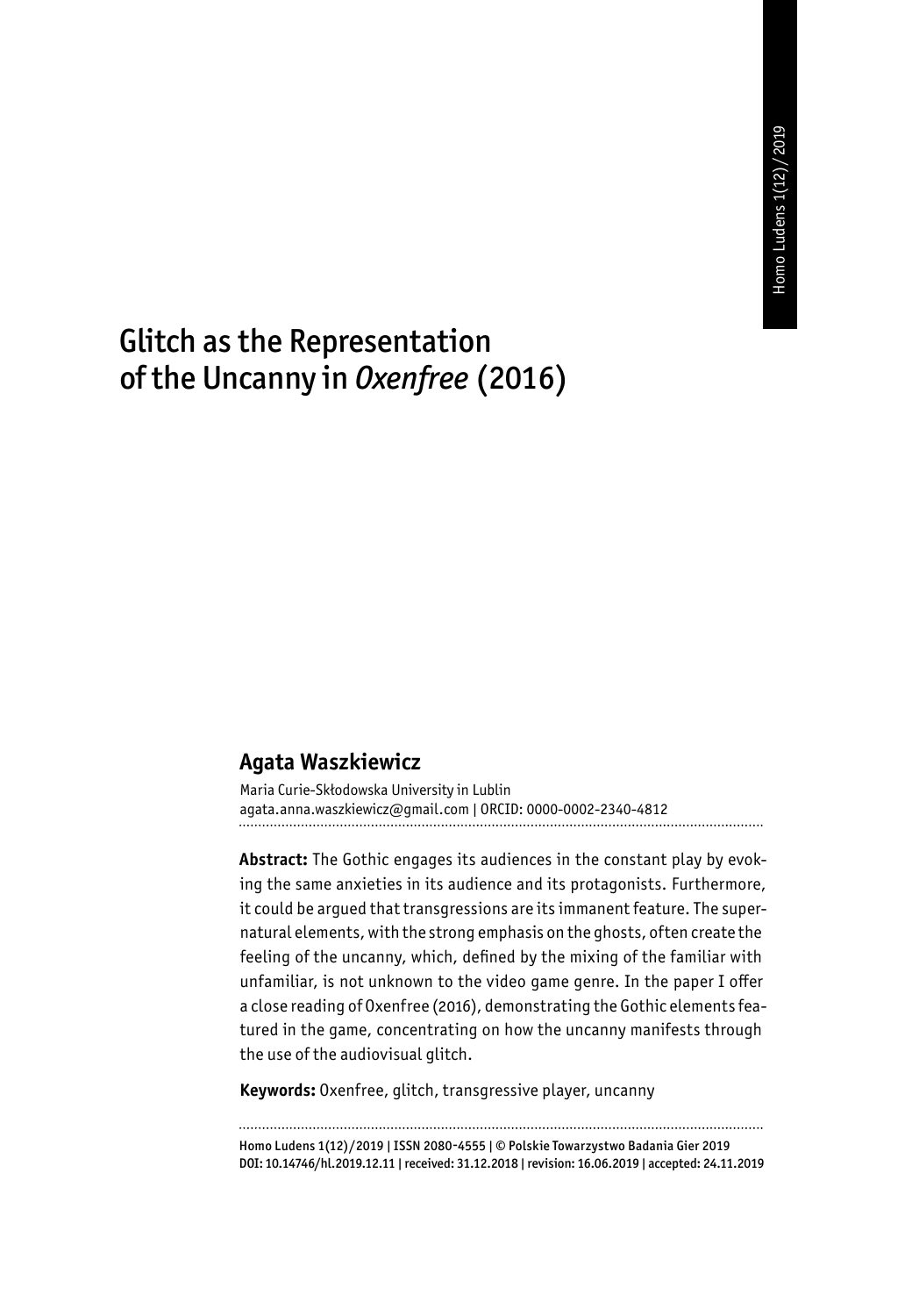# Glitch as the Representation of the Uncanny in *Oxenfree* (2016)

#### **Agata Waszkiewicz**

Maria Curie-Skłodowska University in Lublin agata.anna.waszkiewicz@gmail.com | ORCID: 0000-0002-2340-4812

**Abstract:** The Gothic engages its audiences in the constant play by evoking the same anxieties in its audience and its protagonists. Furthermore, it could be argued that transgressions are its immanent feature. The supernatural elements, with the strong emphasis on the ghosts, often create the feeling of the uncanny, which, defined by the mixing of the familiar with unfamiliar, is not unknown to the video game genre. In the paper I offer a close reading of Oxenfree (2016), demonstrating the Gothic elements featured in the game, concentrating on how the uncanny manifests through the use of the audiovisual glitch.

**Keywords:** Oxenfree, glitch, transgressive player, uncanny

Homo Ludens 1(12)/2019 | ISSN 2080-4555 | © Polskie Towarzystwo Badania Gier 2019 DOI: 10.14746/hl.2019.12.11 | received: 31.12.2018 | revision: 16.06.2019 | accepted: 24.11.2019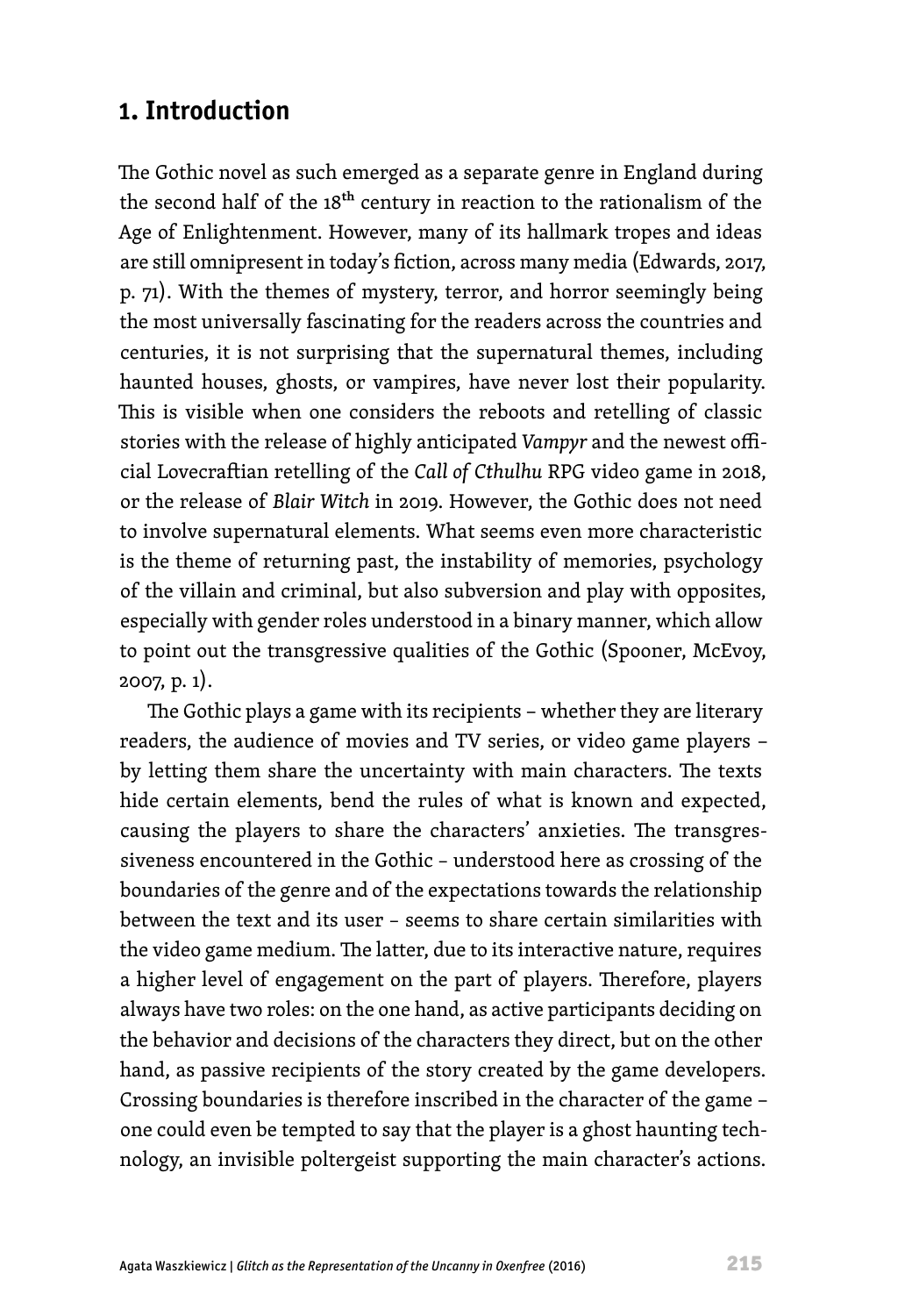### **1. Introduction**

The Gothic novel as such emerged as a separate genre in England during the second half of the 18<sup>th</sup> century in reaction to the rationalism of the Age of Enlightenment. However, many of its hallmark tropes and ideas are still omnipresent in today's fiction, across many media (Edwards, 2017, p. 71). With the themes of mystery, terror, and horror seemingly being the most universally fascinating for the readers across the countries and centuries, it is not surprising that the supernatural themes, including haunted houses, ghosts, or vampires, have never lost their popularity. This is visible when one considers the reboots and retelling of classic stories with the release of highly anticipated *Vampyr* and the newest official Lovecraftian retelling of the *Call of Cthulhu* RPG video game in 2018, or the release of *Blair Witch* in 2019. However, the Gothic does not need to involve supernatural elements. What seems even more characteristic is the theme of returning past, the instability of memories, psychology of the villain and criminal, but also subversion and play with opposites, especially with gender roles understood in a binary manner, which allow to point out the transgressive qualities of the Gothic (Spooner, McEvoy, 2007, p. 1).

The Gothic plays a game with its recipients − whether they are literary readers, the audience of movies and TV series, or video game players − by letting them share the uncertainty with main characters. The texts hide certain elements, bend the rules of what is known and expected, causing the players to share the characters' anxieties. The transgressiveness encountered in the Gothic – understood here as crossing of the boundaries of the genre and of the expectations towards the relationship between the text and its user – seems to share certain similarities with the video game medium. The latter, due to its interactive nature, requires a higher level of engagement on the part of players. Therefore, players always have two roles: on the one hand, as active participants deciding on the behavior and decisions of the characters they direct, but on the other hand, as passive recipients of the story created by the game developers. Crossing boundaries is therefore inscribed in the character of the game − one could even be tempted to say that the player is a ghost haunting technology, an invisible poltergeist supporting the main character's actions.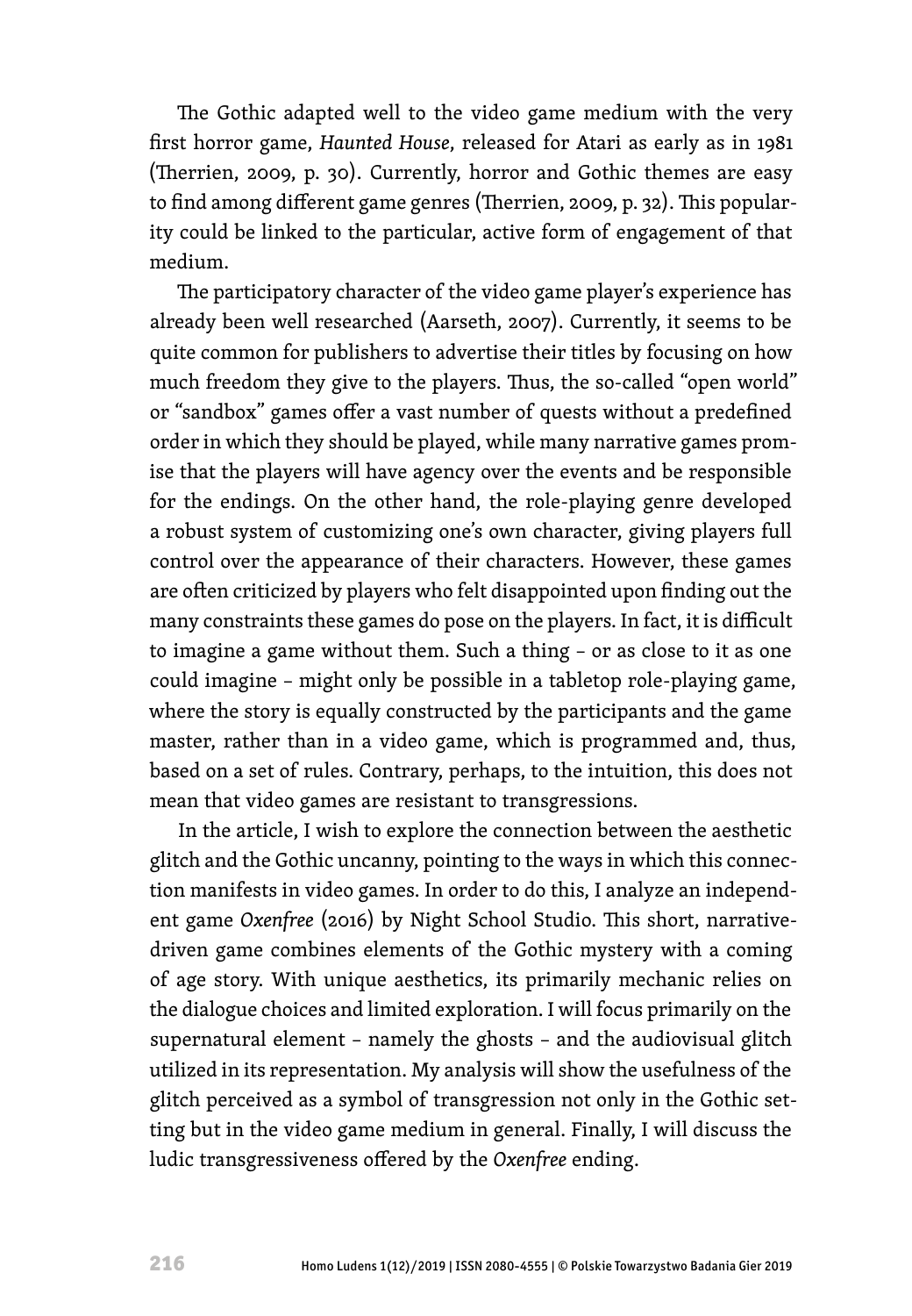The Gothic adapted well to the video game medium with the very first horror game, *Haunted House*, released for Atari as early as in 1981 (Therrien, 2009, p. 30). Currently, horror and Gothic themes are easy to find among different game genres (Therrien, 2009, p. 32). This popularity could be linked to the particular, active form of engagement of that medium.

The participatory character of the video game player's experience has already been well researched (Aarseth, 2007). Currently, it seems to be quite common for publishers to advertise their titles by focusing on how much freedom they give to the players. Thus, the so-called "open world" or "sandbox" games offer a vast number of quests without a predefined order in which they should be played, while many narrative games promise that the players will have agency over the events and be responsible for the endings. On the other hand, the role-playing genre developed a robust system of customizing one's own character, giving players full control over the appearance of their characters. However, these games are often criticized by players who felt disappointed upon finding out the many constraints these games do pose on the players. In fact, it is difficult to imagine a game without them. Such a thing – or as close to it as one could imagine – might only be possible in a tabletop role-playing game, where the story is equally constructed by the participants and the game master, rather than in a video game, which is programmed and, thus, based on a set of rules. Contrary, perhaps, to the intuition, this does not mean that video games are resistant to transgressions.

In the article, I wish to explore the connection between the aesthetic glitch and the Gothic uncanny, pointing to the ways in which this connection manifests in video games. In order to do this, I analyze an independent game *Oxenfree* (2016) by Night School Studio. This short, narrativedriven game combines elements of the Gothic mystery with a coming of age story. With unique aesthetics, its primarily mechanic relies on the dialogue choices and limited exploration. I will focus primarily on the supernatural element – namely the ghosts – and the audiovisual glitch utilized in its representation. My analysis will show the usefulness of the glitch perceived as a symbol of transgression not only in the Gothic setting but in the video game medium in general. Finally, I will discuss the ludic transgressiveness offered by the *Oxenfree* ending.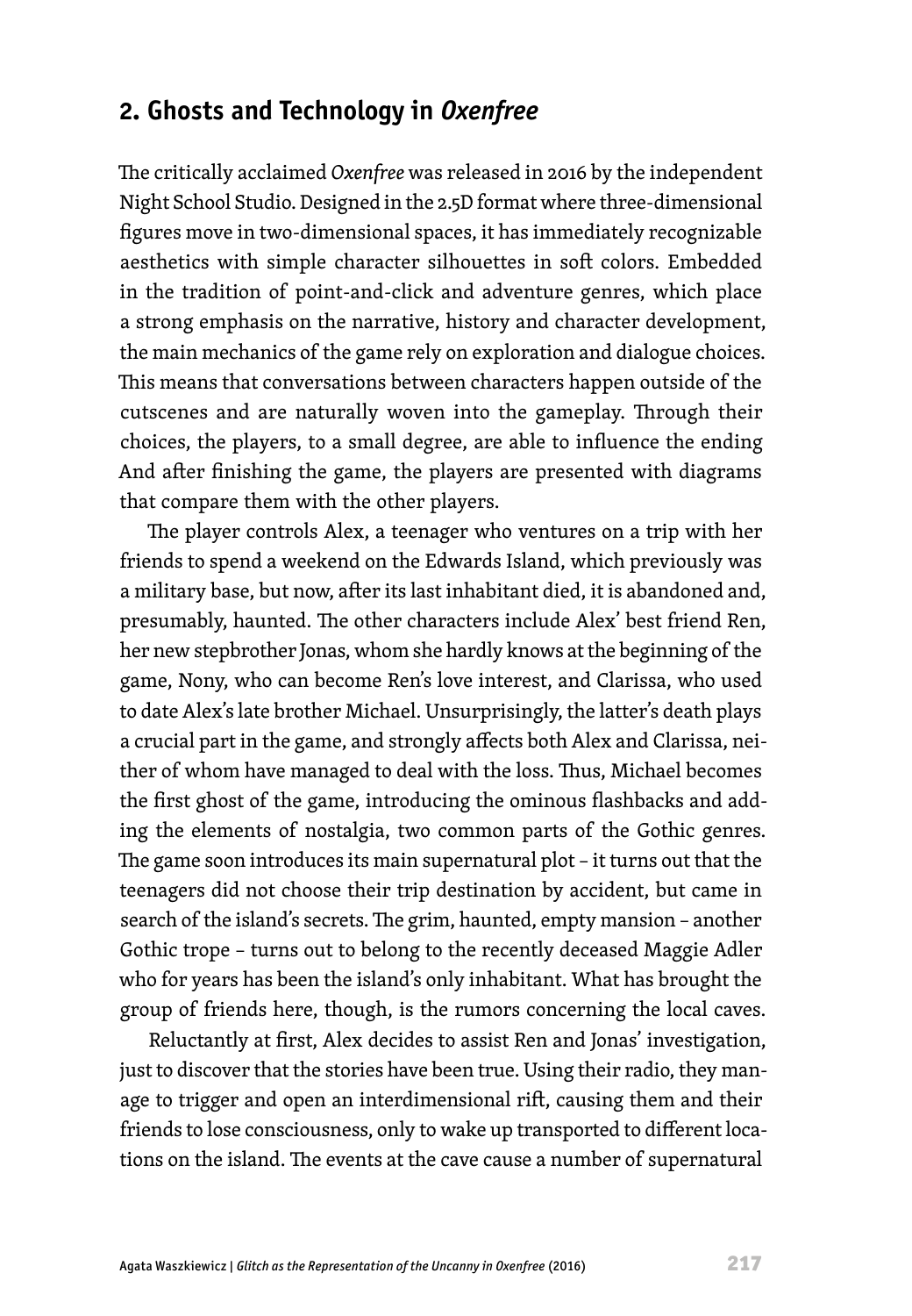## **2. Ghosts and Technology in** *Oxenfree*

The critically acclaimed *Oxenfree* was released in 2016 by the independent Night School Studio. Designed in the 2.5D format where three-dimensional figures move in two-dimensional spaces, it has immediately recognizable aesthetics with simple character silhouettes in soft colors. Embedded in the tradition of point-and-click and adventure genres, which place a strong emphasis on the narrative, history and character development, the main mechanics of the game rely on exploration and dialogue choices. This means that conversations between characters happen outside of the cutscenes and are naturally woven into the gameplay. Through their choices, the players, to a small degree, are able to influence the ending And after finishing the game, the players are presented with diagrams that compare them with the other players.

The player controls Alex, a teenager who ventures on a trip with her friends to spend a weekend on the Edwards Island, which previously was a military base, but now, after its last inhabitant died, it is abandoned and, presumably, haunted. The other characters include Alex' best friend Ren, her new stepbrother Jonas, whom she hardly knows at the beginning of the game, Nony, who can become Ren's love interest, and Clarissa, who used to date Alex's late brother Michael. Unsurprisingly, the latter's death plays a crucial part in the game, and strongly affects both Alex and Clarissa, neither of whom have managed to deal with the loss. Thus, Michael becomes the first ghost of the game, introducing the ominous flashbacks and adding the elements of nostalgia, two common parts of the Gothic genres. The game soon introduces its main supernatural plot – it turns out that the teenagers did not choose their trip destination by accident, but came in search of the island's secrets. The grim, haunted, empty mansion – another Gothic trope – turns out to belong to the recently deceased Maggie Adler who for years has been the island's only inhabitant. What has brought the group of friends here, though, is the rumors concerning the local caves.

Reluctantly at first, Alex decides to assist Ren and Jonas' investigation, just to discover that the stories have been true. Using their radio, they manage to trigger and open an interdimensional rift, causing them and their friends to lose consciousness, only to wake up transported to different locations on the island. The events at the cave cause a number of supernatural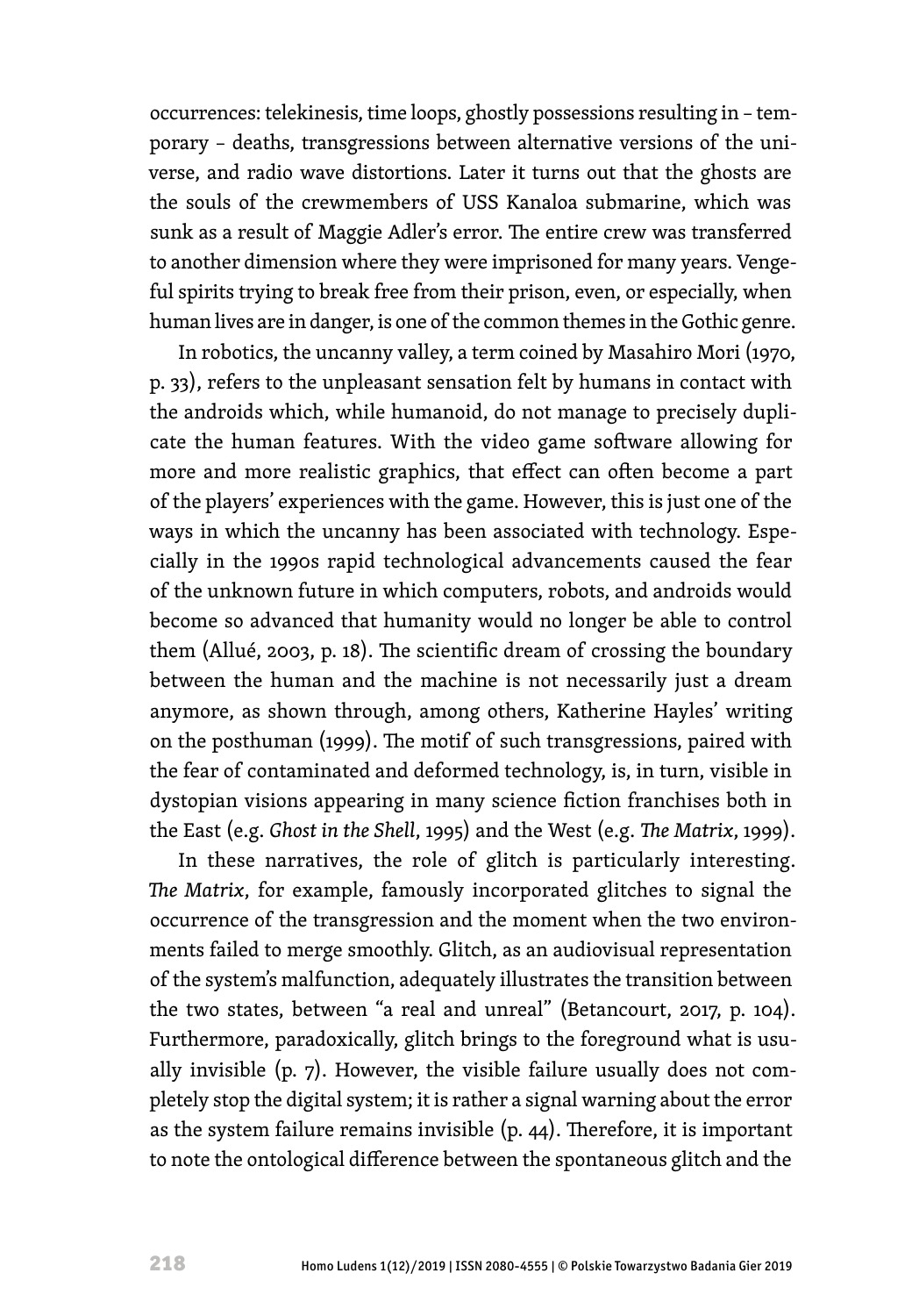occurrences: telekinesis, time loops, ghostly possessions resulting in – temporary – deaths, transgressions between alternative versions of the universe, and radio wave distortions. Later it turns out that the ghosts are the souls of the crewmembers of USS Kanaloa submarine, which was sunk as a result of Maggie Adler's error. The entire crew was transferred to another dimension where they were imprisoned for many years. Vengeful spirits trying to break free from their prison, even, or especially, when human lives are in danger, is one of the common themes in the Gothic genre.

In robotics, the uncanny valley, a term coined by Masahiro Mori (1970, p. 33), refers to the unpleasant sensation felt by humans in contact with the androids which, while humanoid, do not manage to precisely duplicate the human features. With the video game software allowing for more and more realistic graphics, that effect can often become a part of the players' experiences with the game. However, this is just one of the ways in which the uncanny has been associated with technology. Especially in the 1990s rapid technological advancements caused the fear of the unknown future in which computers, robots, and androids would become so advanced that humanity would no longer be able to control them (Allué, 2003, p. 18). The scientific dream of crossing the boundary between the human and the machine is not necessarily just a dream anymore, as shown through, among others, Katherine Hayles' writing on the posthuman (1999). The motif of such transgressions, paired with the fear of contaminated and deformed technology, is, in turn, visible in dystopian visions appearing in many science fiction franchises both in the East (e.g. *Ghost in the Shell*, 1995) and the West (e.g. *The Matrix*, 1999).

In these narratives, the role of glitch is particularly interesting. *The Matrix*, for example, famously incorporated glitches to signal the occurrence of the transgression and the moment when the two environments failed to merge smoothly. Glitch, as an audiovisual representation of the system's malfunction, adequately illustrates the transition between the two states, between "a real and unreal" (Betancourt, 2017, p. 104). Furthermore, paradoxically, glitch brings to the foreground what is usually invisible (p. 7). However, the visible failure usually does not completely stop the digital system; it is rather a signal warning about the error as the system failure remains invisible (p. 44). Therefore, it is important to note the ontological difference between the spontaneous glitch and the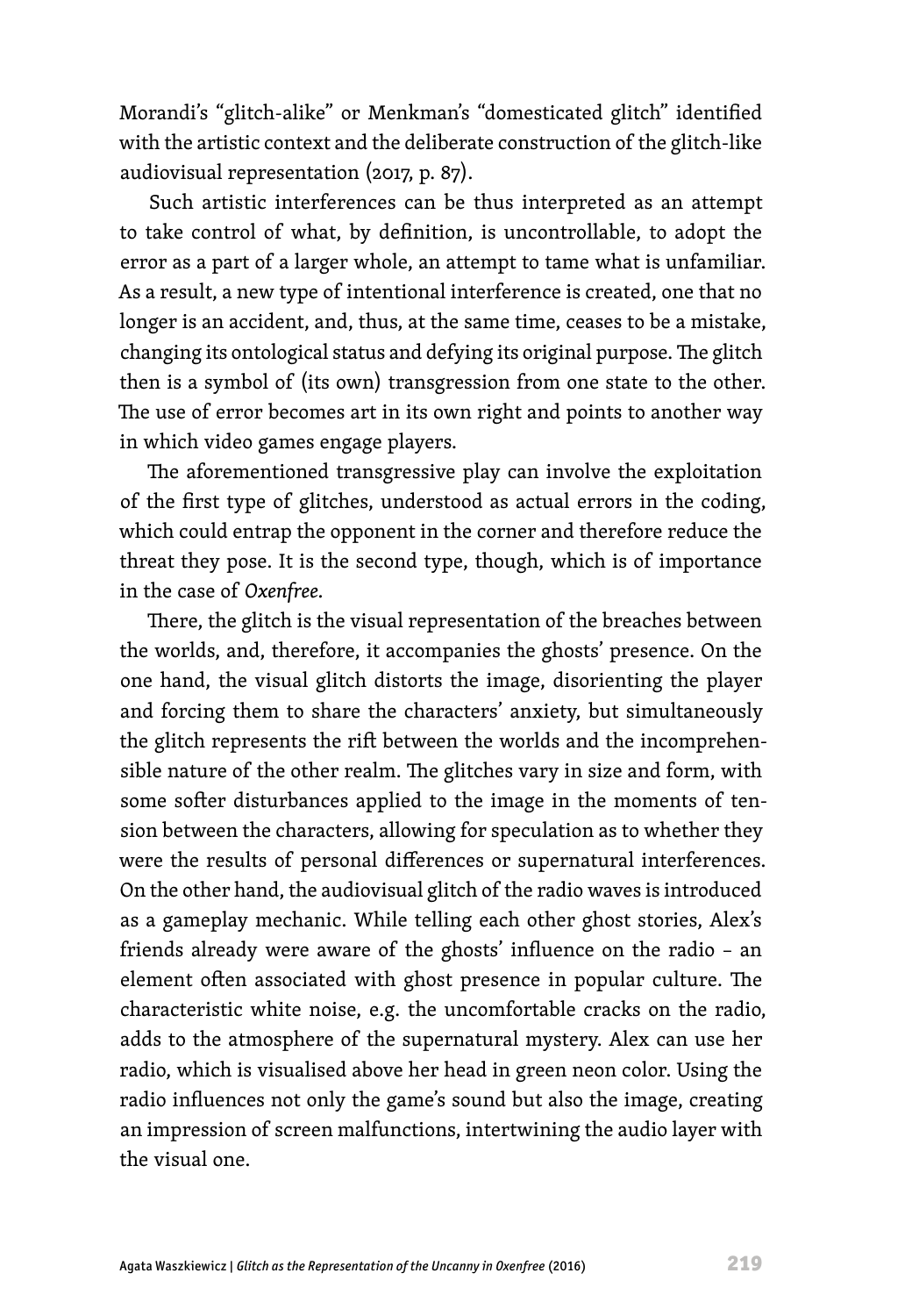Morandi's "glitch-alike" or Menkman's "domesticated glitch" identified with the artistic context and the deliberate construction of the glitch-like audiovisual representation (2017, p. 87).

Such artistic interferences can be thus interpreted as an attempt to take control of what, by definition, is uncontrollable, to adopt the error as a part of a larger whole, an attempt to tame what is unfamiliar. As a result, a new type of intentional interference is created, one that no longer is an accident, and, thus, at the same time, ceases to be a mistake, changing its ontological status and defying its original purpose. The glitch then is a symbol of (its own) transgression from one state to the other. The use of error becomes art in its own right and points to another way in which video games engage players.

The aforementioned transgressive play can involve the exploitation of the first type of glitches, understood as actual errors in the coding, which could entrap the opponent in the corner and therefore reduce the threat they pose. It is the second type, though, which is of importance in the case of *Oxenfree.* 

There, the glitch is the visual representation of the breaches between the worlds, and, therefore, it accompanies the ghosts' presence. On the one hand, the visual glitch distorts the image, disorienting the player and forcing them to share the characters' anxiety, but simultaneously the glitch represents the rift between the worlds and the incomprehensible nature of the other realm. The glitches vary in size and form, with some softer disturbances applied to the image in the moments of tension between the characters, allowing for speculation as to whether they were the results of personal differences or supernatural interferences. On the other hand, the audiovisual glitch of the radio waves is introduced as a gameplay mechanic. While telling each other ghost stories, Alex's friends already were aware of the ghosts' influence on the radio – an element often associated with ghost presence in popular culture. The characteristic white noise, e.g. the uncomfortable cracks on the radio, adds to the atmosphere of the supernatural mystery. Alex can use her radio, which is visualised above her head in green neon color. Using the radio influences not only the game's sound but also the image, creating an impression of screen malfunctions, intertwining the audio layer with the visual one.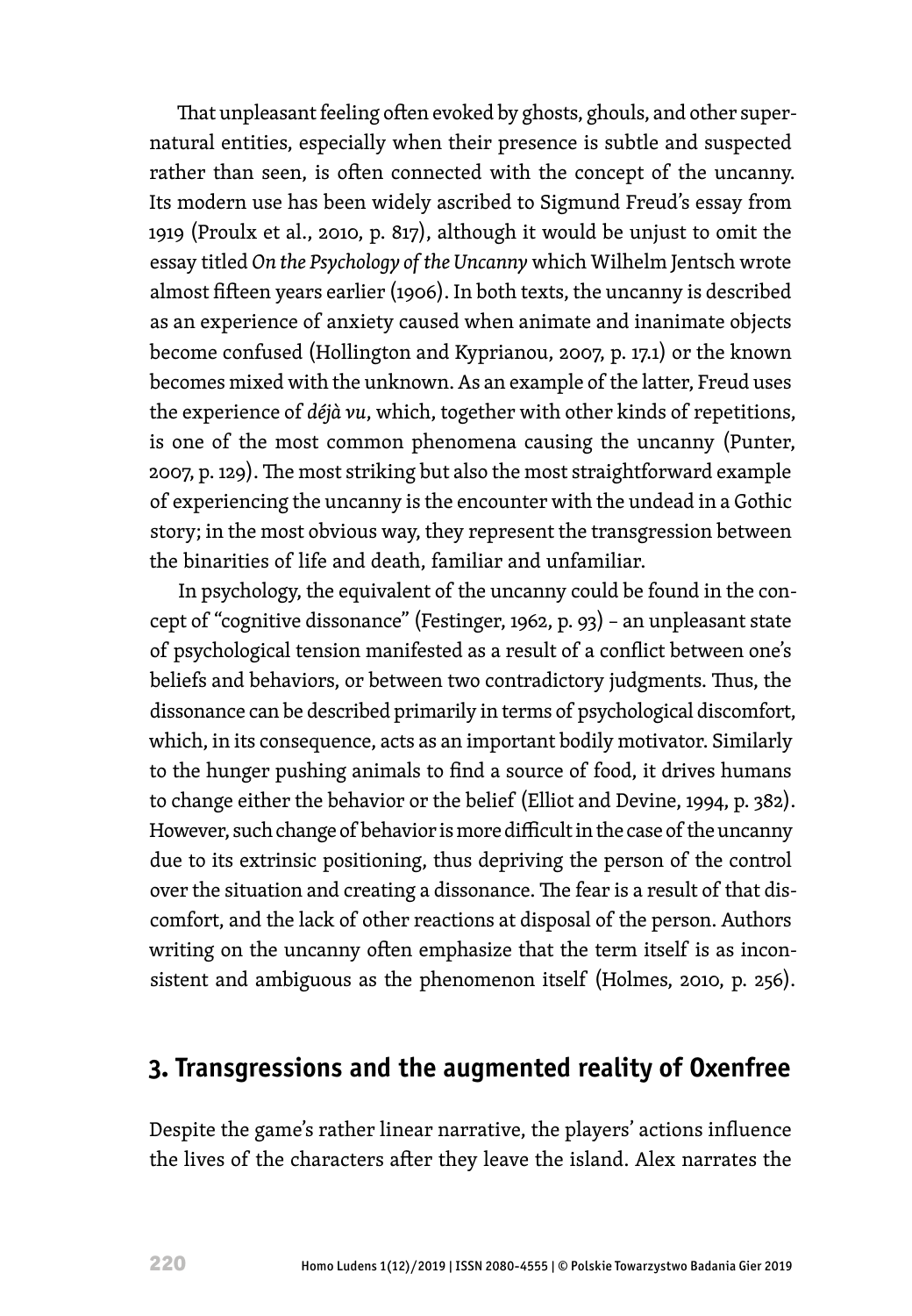That unpleasant feeling often evoked by ghosts, ghouls, and other supernatural entities, especially when their presence is subtle and suspected rather than seen, is often connected with the concept of the uncanny. Its modern use has been widely ascribed to Sigmund Freud's essay from 1919 (Proulx et al., 2010, p. 817), although it would be unjust to omit the essay titled *On the Psychology of the Uncanny* which Wilhelm Jentsch wrote almost fifteen years earlier (1906). In both texts, the uncanny is described as an experience of anxiety caused when animate and inanimate objects become confused (Hollington and Kyprianou, 2007, p. 17.1) or the known becomes mixed with the unknown. As an example of the latter, Freud uses the experience of *déjà vu*, which, together with other kinds of repetitions, is one of the most common phenomena causing the uncanny (Punter, 2007, p. 129). The most striking but also the most straightforward example of experiencing the uncanny is the encounter with the undead in a Gothic story; in the most obvious way, they represent the transgression between the binarities of life and death, familiar and unfamiliar.

In psychology, the equivalent of the uncanny could be found in the concept of "cognitive dissonance" (Festinger, 1962, p. 93) – an unpleasant state of psychological tension manifested as a result of a conflict between one's beliefs and behaviors, or between two contradictory judgments. Thus, the dissonance can be described primarily in terms of psychological discomfort, which, in its consequence, acts as an important bodily motivator. Similarly to the hunger pushing animals to find a source of food, it drives humans to change either the behavior or the belief (Elliot and Devine, 1994, p. 382). However, such change of behavior is more difficult in the case of the uncanny due to its extrinsic positioning, thus depriving the person of the control over the situation and creating a dissonance. The fear is a result of that discomfort, and the lack of other reactions at disposal of the person. Authors writing on the uncanny often emphasize that the term itself is as inconsistent and ambiguous as the phenomenon itself (Holmes, 2010, p. 256).

### **3. Transgressions and the augmented reality of Oxenfree**

Despite the game's rather linear narrative, the players' actions influence the lives of the characters after they leave the island. Alex narrates the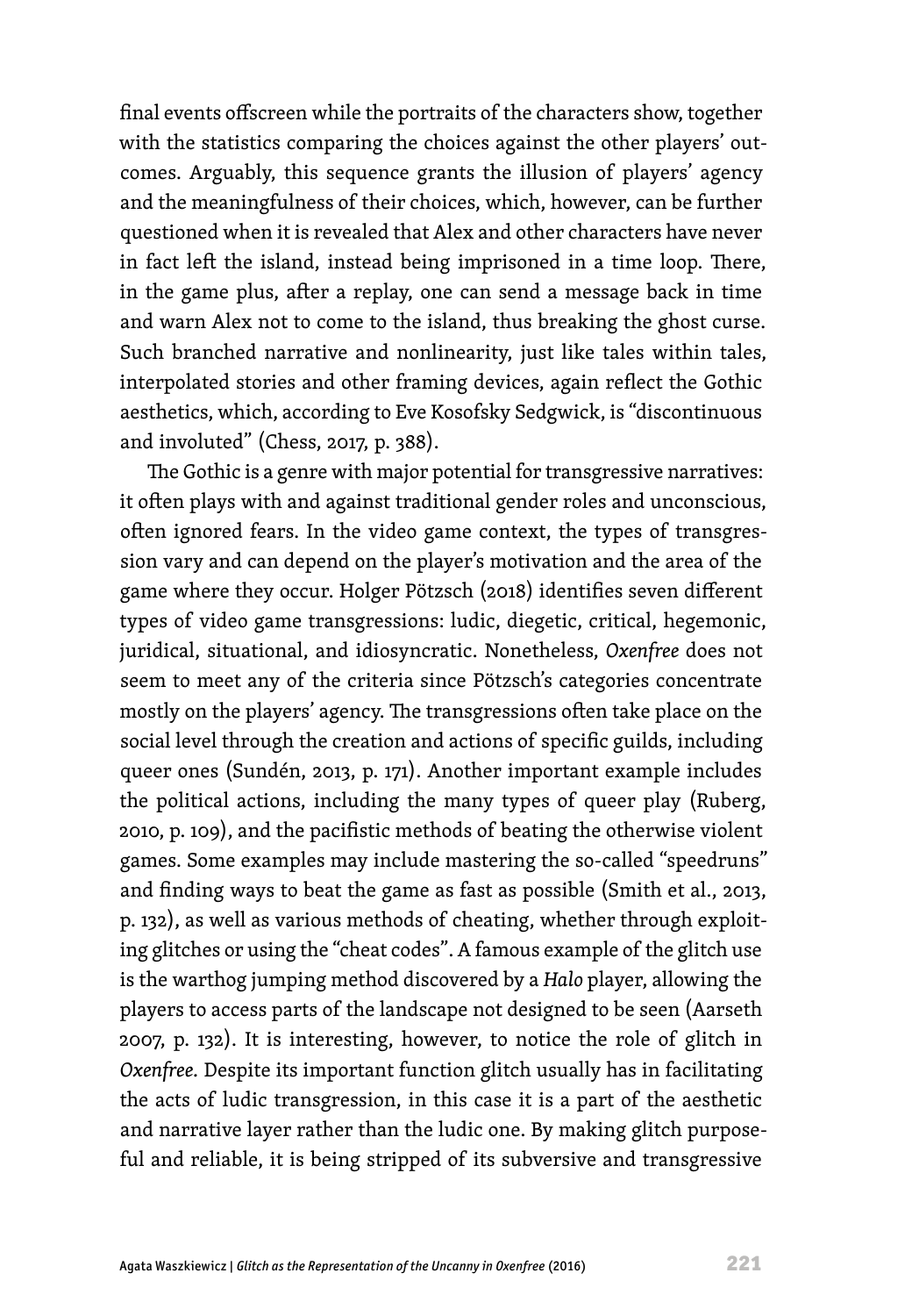final events offscreen while the portraits of the characters show, together with the statistics comparing the choices against the other players' outcomes. Arguably, this sequence grants the illusion of players' agency and the meaningfulness of their choices, which, however, can be further questioned when it is revealed that Alex and other characters have never in fact left the island, instead being imprisoned in a time loop. There, in the game plus, after a replay, one can send a message back in time and warn Alex not to come to the island, thus breaking the ghost curse. Such branched narrative and nonlinearity, just like tales within tales, interpolated stories and other framing devices, again reflect the Gothic aesthetics, which, according to Eve Kosofsky Sedgwick, is "discontinuous and involuted" (Chess, 2017, p. 388).

The Gothic is a genre with major potential for transgressive narratives: it often plays with and against traditional gender roles and unconscious, often ignored fears. In the video game context, the types of transgression vary and can depend on the player's motivation and the area of the game where they occur. Holger Pӧtzsch (2018) identifies seven different types of video game transgressions: ludic, diegetic, critical, hegemonic, juridical, situational, and idiosyncratic. Nonetheless, *Oxenfree* does not seem to meet any of the criteria since Pӧtzsch's categories concentrate mostly on the players' agency. The transgressions often take place on the social level through the creation and actions of specific guilds, including queer ones (Sundén, 2013, p. 171). Another important example includes the political actions, including the many types of queer play (Ruberg, 2010, p. 109), and the pacifistic methods of beating the otherwise violent games. Some examples may include mastering the so-called "speedruns" and finding ways to beat the game as fast as possible (Smith et al., 2013, p. 132), as well as various methods of cheating, whether through exploiting glitches or using the "cheat codes". A famous example of the glitch use is the warthog jumping method discovered by a *Halo* player, allowing the players to access parts of the landscape not designed to be seen (Aarseth 2007, p. 132). It is interesting, however, to notice the role of glitch in *Oxenfree.* Despite its important function glitch usually has in facilitating the acts of ludic transgression, in this case it is a part of the aesthetic and narrative layer rather than the ludic one. By making glitch purposeful and reliable, it is being stripped of its subversive and transgressive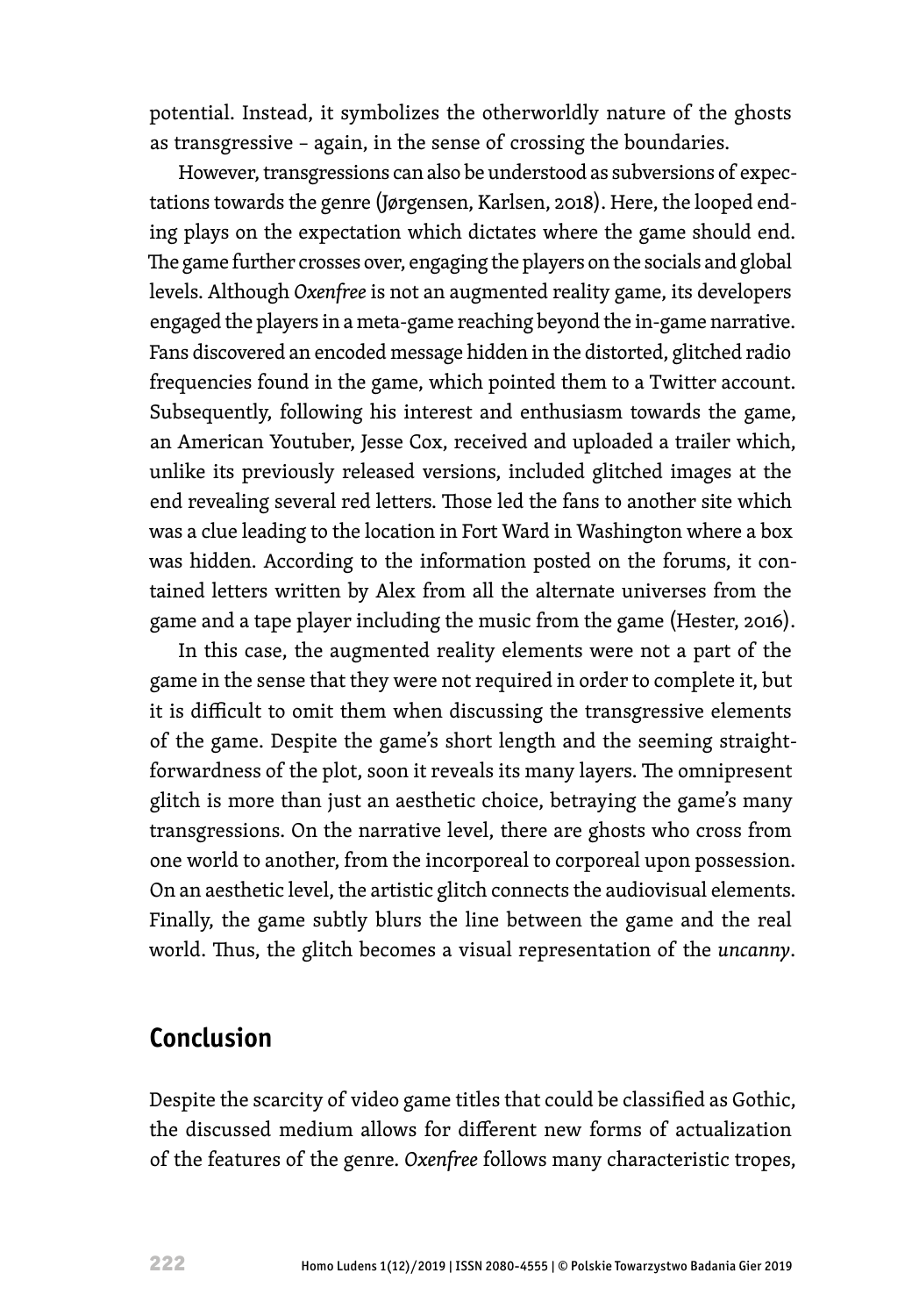potential. Instead, it symbolizes the otherworldly nature of the ghosts as transgressive – again, in the sense of crossing the boundaries.

However, transgressions can also be understood as subversions of expectations towards the genre (Jørgensen, Karlsen, 2018). Here, the looped ending plays on the expectation which dictates where the game should end. The game further crosses over, engaging the players on the socials and global levels. Although *Oxenfree* is not an augmented reality game, its developers engaged the players in a meta-game reaching beyond the in-game narrative. Fans discovered an encoded message hidden in the distorted, glitched radio frequencies found in the game, which pointed them to a Twitter account. Subsequently, following his interest and enthusiasm towards the game, an American Youtuber, Jesse Cox, received and uploaded a trailer which, unlike its previously released versions, included glitched images at the end revealing several red letters. Those led the fans to another site which was a clue leading to the location in Fort Ward in Washington where a box was hidden. According to the information posted on the forums, it contained letters written by Alex from all the alternate universes from the game and a tape player including the music from the game (Hester, 2016).

In this case, the augmented reality elements were not a part of the game in the sense that they were not required in order to complete it, but it is difficult to omit them when discussing the transgressive elements of the game. Despite the game's short length and the seeming straightforwardness of the plot, soon it reveals its many layers. The omnipresent glitch is more than just an aesthetic choice, betraying the game's many transgressions. On the narrative level, there are ghosts who cross from one world to another, from the incorporeal to corporeal upon possession. On an aesthetic level, the artistic glitch connects the audiovisual elements. Finally, the game subtly blurs the line between the game and the real world. Thus, the glitch becomes a visual representation of the *uncanny*.

### **Conclusion**

Despite the scarcity of video game titles that could be classified as Gothic, the discussed medium allows for different new forms of actualization of the features of the genre*. Oxenfree* follows many characteristic tropes,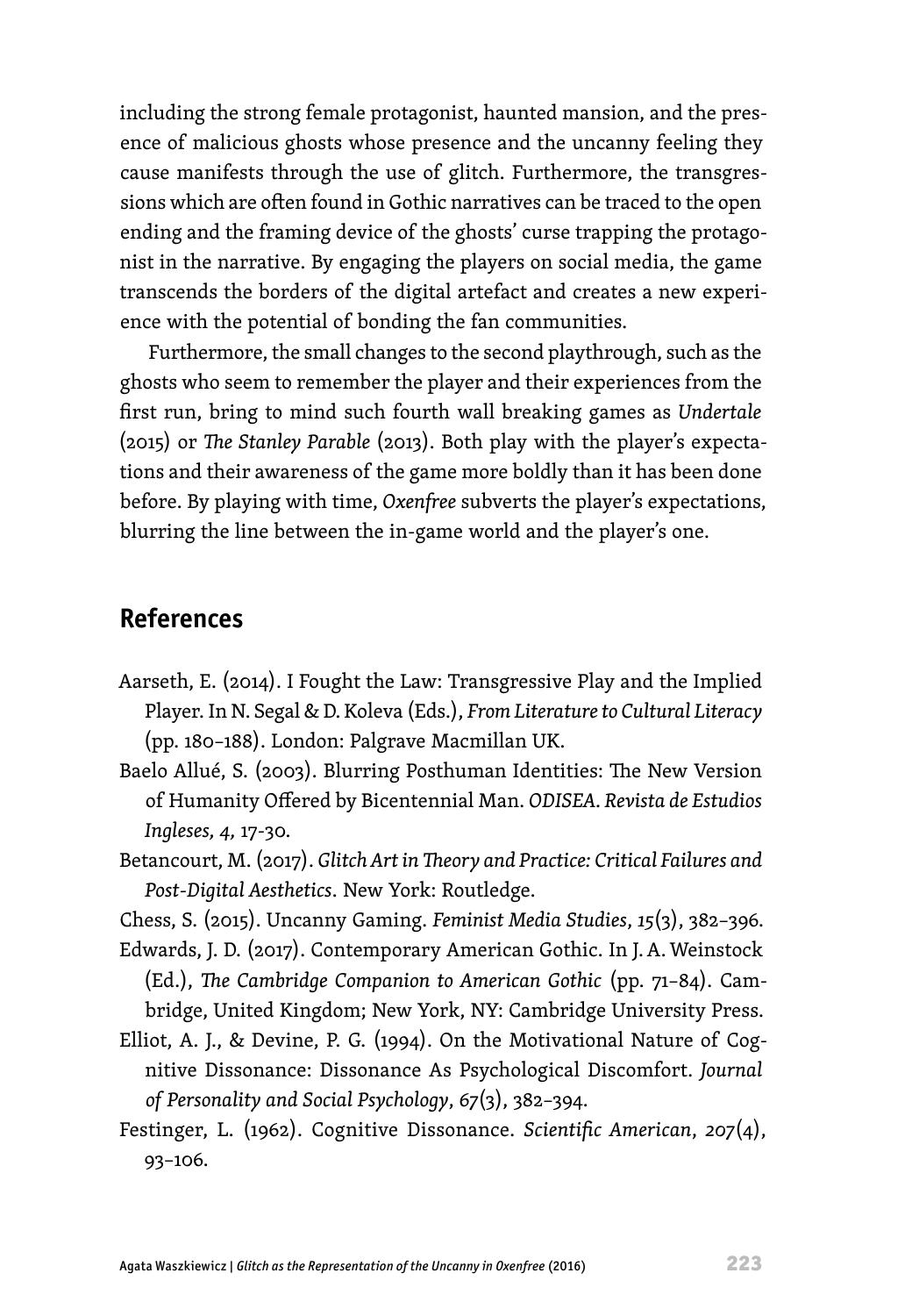including the strong female protagonist, haunted mansion, and the presence of malicious ghosts whose presence and the uncanny feeling they cause manifests through the use of glitch. Furthermore, the transgressions which are often found in Gothic narratives can be traced to the open ending and the framing device of the ghosts' curse trapping the protagonist in the narrative. By engaging the players on social media, the game transcends the borders of the digital artefact and creates a new experience with the potential of bonding the fan communities.

Furthermore, the small changes to the second playthrough, such as the ghosts who seem to remember the player and their experiences from the first run, bring to mind such fourth wall breaking games as *Undertale*  (2015) or *The Stanley Parable* (2013). Both play with the player's expectations and their awareness of the game more boldly than it has been done before. By playing with time, *Oxenfree* subverts the player's expectations, blurring the line between the in-game world and the player's one.

#### **References**

- Aarseth, E. (2014). I Fought the Law: Transgressive Play and the Implied Player. In N. Segal & D.Koleva (Eds.), *From Literature to Cultural Literacy* (pp. 180–188). London: Palgrave Macmillan UK.
- Baelo Allué, S. (2003). Blurring Posthuman Identities: The New Version of Humanity Offered by Bicentennial Man. *ODISEA. Revista de Estudios Ingleses, 4,* 17-30.
- Betancourt, M. (2017). *Glitch Art in Theory and Practice: Critical Failures and Post-Digital Aesthetics*. New York: Routledge.
- Chess, S. (2015). Uncanny Gaming. *Feminist Media Studies*, *15*(3), 382–396.
- Edwards, J. D. (2017). Contemporary American Gothic. In J.A. Weinstock (Ed.), *The Cambridge Companion to American Gothic* (pp. 71–84). Cambridge, United Kingdom; New York, NY: Cambridge University Press.
- Elliot, A. J., & Devine, P. G. (1994). On the Motivational Nature of Cognitive Dissonance: Dissonance As Psychological Discomfort. *Journal of Personality and Social Psychology*, *67*(3), 382–394.
- Festinger, L. (1962). Cognitive Dissonance. *Scientific American*, *207*(4), 93–106.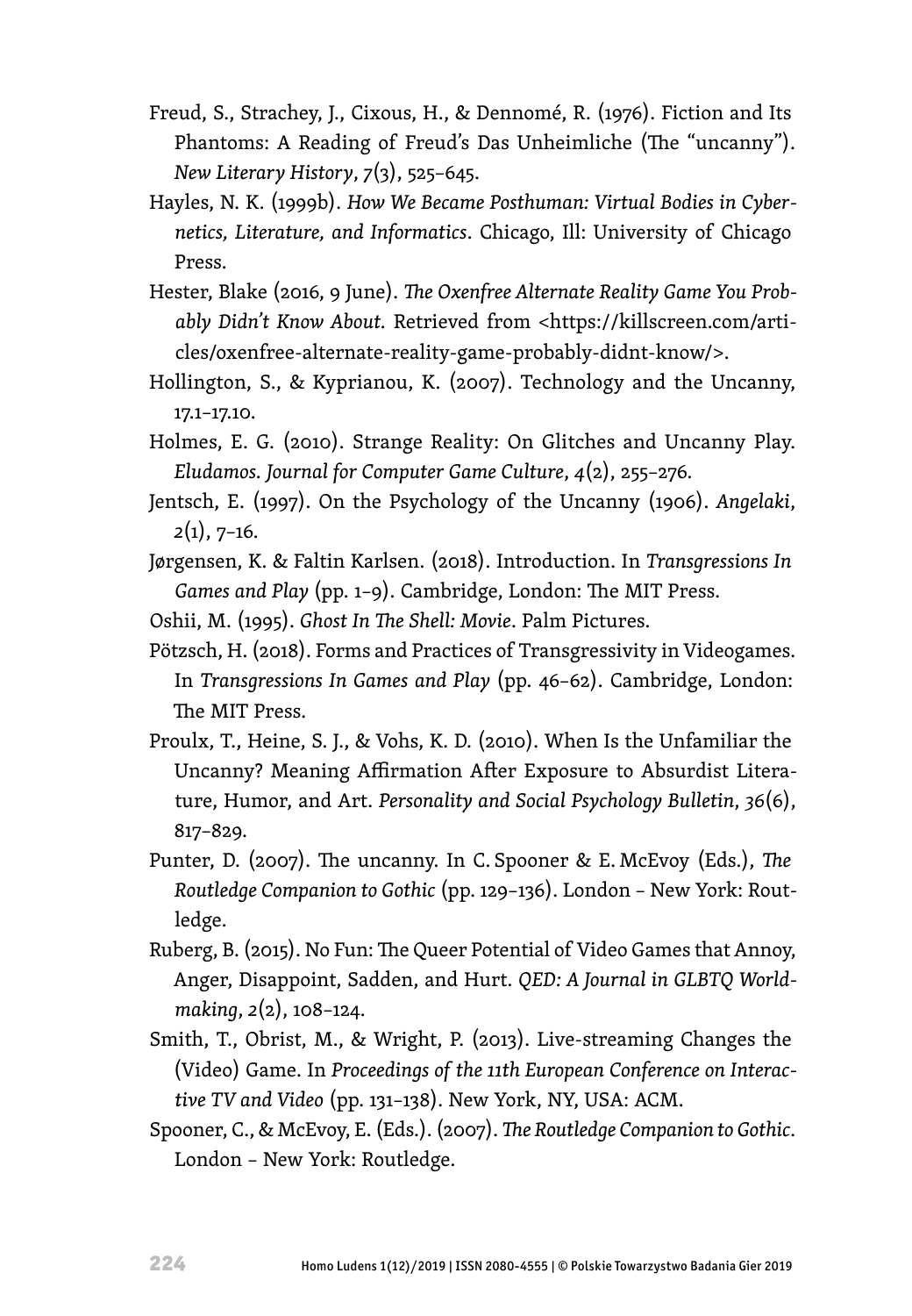- Freud, S., Strachey, J., Cixous, H., & Dennomé, R. (1976). Fiction and Its Phantoms: A Reading of Freud's Das Unheimliche (The "uncanny"). *New Literary History*, *7*(3), 525–645.
- Hayles, N. K. (1999b). *How We Became Posthuman: Virtual Bodies in Cybernetics, Literature, and Informatics*. Chicago, Ill: University of Chicago Press.
- Hester, Blake (2016, 9 June). *The Oxenfree Alternate Reality Game You Probably Didn't Know About.* Retrieved from <[https://killscreen.com/arti](https://killscreen.com/articles/oxenfree-alternate-reality-game-probably-didnt-know/)[cles/oxenfree-alternate-reality-game-probably-didnt-know/>](https://killscreen.com/articles/oxenfree-alternate-reality-game-probably-didnt-know/).
- Hollington, S., & Kyprianou, K. (2007). Technology and the Uncanny, 17.1–17.10.
- Holmes, E. G. (2010). Strange Reality: On Glitches and Uncanny Play. *Eludamos. Journal for Computer Game Culture*, *4*(2), 255–276.
- Jentsch, E. (1997). On the Psychology of the Uncanny (1906). *Angelaki*, *2*(1), 7–16.
- Jørgensen, K. & Faltin Karlsen. (2018). Introduction. In *Transgressions In Games and Play* (pp. 1–9). Cambridge, London: The MIT Press.
- Oshii, M. (1995). *Ghost In The Shell: Movie*. Palm Pictures.
- Pӧtzsch, H. (2018). Forms and Practices of Transgressivity in Videogames. In *Transgressions In Games and Play* (pp. 46–62). Cambridge, London: The MIT Press.
- Proulx, T., Heine, S. J., & Vohs, K. D. (2010). When Is the Unfamiliar the Uncanny? Meaning Affirmation After Exposure to Absurdist Literature, Humor, and Art. *Personality and Social Psychology Bulletin*, *36*(6), 817–829.
- Punter, D. (2007). The uncanny. In C. Spooner & E. McEvoy (Eds.), *The Routledge Companion to Gothic* (pp. 129–136). London – New York: Routledge.
- Ruberg, B. (2015). No Fun: The Queer Potential of Video Games that Annoy, Anger, Disappoint, Sadden, and Hurt. *QED: A Journal in GLBTQ Worldmaking*, *2*(2), 108–124.
- Smith, T., Obrist, M., & Wright, P. (2013). Live-streaming Changes the (Video) Game. In *Proceedings of the 11th European Conference on Interactive TV and Video* (pp. 131–138). New York, NY, USA: ACM.
- Spooner, C., & McEvoy, E. (Eds.). (2007). *The Routledge Companion to Gothic*. London – New York: Routledge.